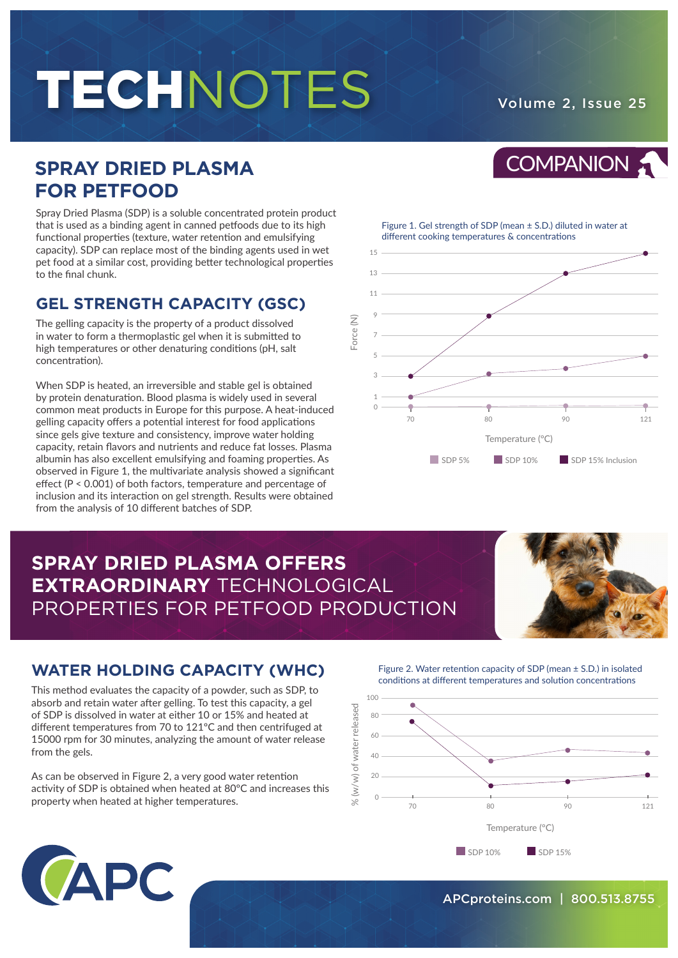# TECHNOTES Volume 2, Issue 25

COMPANION :

## **SPRAY DRIED PLASMA FOR PETFOOD**

Spray Dried Plasma (SDP) is a soluble concentrated protein product that is used as a binding agent in canned petfoods due to its high functional properties (texture, water retention and emulsifying capacity). SDP can replace most of the binding agents used in wet pet food at a similar cost, providing better technological properties to the final chunk.

## **GEL STRENGTH CAPACITY (GSC)**

The gelling capacity is the property of a product dissolved in water to form a thermoplastic gel when it is submitted to high temperatures or other denaturing conditions (pH, salt concentration).

When SDP is heated, an irreversible and stable gel is obtained by protein denaturation. Blood plasma is widely used in several common meat products in Europe for this purpose. A heat-induced gelling capacity offers a potential interest for food applications since gels give texture and consistency, improve water holding capacity, retain flavors and nutrients and reduce fat losses. Plasma albumin has also excellent emulsifying and foaming properties. As observed in Figure 1, the multivariate analysis showed a significant effect (P < 0.001) of both factors, temperature and percentage of inclusion and its interaction on gel strength. Results were obtained from the analysis of 10 different batches of SDP.

### Figure 1. Gel strength of SDP (mean ± S.D.) diluted in water at different cooking temperatures & concentrations



## **SPRAY DRIED PLASMA OFFERS EXTRAORDINARY** TECHNOLOGICAL PROPERTIES FOR PETFOOD PRODUCTION



## **WATER HOLDING CAPACITY (WHC)**

This method evaluates the capacity of a powder, such as SDP, to absorb and retain water after gelling. To test this capacity, a gel of SDP is dissolved in water at either 10 or 15% and heated at different temperatures from 70 to 121ºC and then centrifuged at 15000 rpm for 30 minutes, analyzing the amount of water release from the gels.

As can be observed in Figure 2, a very good water retention activity of SDP is obtained when heated at 80ºC and increases this property when heated at higher temperatures.

Figure 2. Water retention capacity of SDP (mean ± S.D.) in isolated conditions at different temperatures and solution concentrations